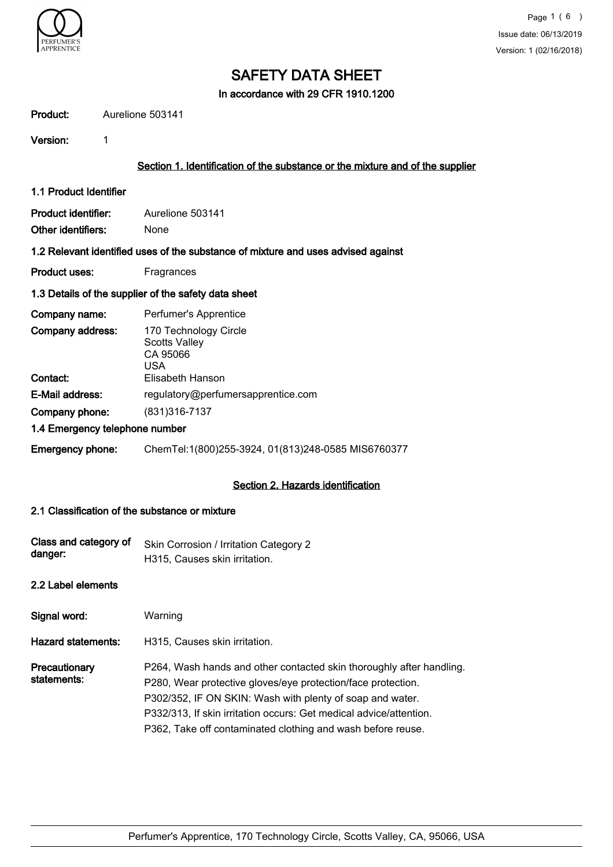

In accordance with 29 CFR 1910.1200

| Product:                                                                          | Aurelione 503141                                                              |  |  |  |
|-----------------------------------------------------------------------------------|-------------------------------------------------------------------------------|--|--|--|
| Version:                                                                          | 1                                                                             |  |  |  |
|                                                                                   | Section 1. Identification of the substance or the mixture and of the supplier |  |  |  |
| 1.1 Product Identifier                                                            |                                                                               |  |  |  |
| <b>Product identifier:</b>                                                        | Aurelione 503141                                                              |  |  |  |
| Other identifiers:                                                                | None                                                                          |  |  |  |
| 1.2 Relevant identified uses of the substance of mixture and uses advised against |                                                                               |  |  |  |
| <b>Product uses:</b>                                                              | Fragrances                                                                    |  |  |  |
|                                                                                   | 1.3 Details of the supplier of the safety data sheet                          |  |  |  |
| Company name:                                                                     | Perfumer's Apprentice                                                         |  |  |  |
| Company address:                                                                  | 170 Technology Circle<br><b>Scotts Valley</b><br>CA 95066<br><b>USA</b>       |  |  |  |
| Contact:                                                                          | Elisabeth Hanson                                                              |  |  |  |
| E-Mail address:                                                                   | regulatory@perfumersapprentice.com                                            |  |  |  |
| Company phone:                                                                    | (831) 316-7137                                                                |  |  |  |
|                                                                                   | 1.4 Emergency telephone number                                                |  |  |  |
| <b>Emergency phone:</b>                                                           | ChemTel:1(800)255-3924, 01(813)248-0585 MIS6760377                            |  |  |  |
|                                                                                   | Section 2. Hazards identification                                             |  |  |  |

#### 2.1 Classification of the substance or mixture

| Class and category of<br>danger: | Skin Corrosion / Irritation Category 2<br>H315, Causes skin irritation.                                                                                                                                                                                                                                                                |
|----------------------------------|----------------------------------------------------------------------------------------------------------------------------------------------------------------------------------------------------------------------------------------------------------------------------------------------------------------------------------------|
| 2.2 Label elements               |                                                                                                                                                                                                                                                                                                                                        |
| Signal word:                     | Warning                                                                                                                                                                                                                                                                                                                                |
| Hazard statements:               | H315, Causes skin irritation.                                                                                                                                                                                                                                                                                                          |
| Precautionary<br>statements:     | P264, Wash hands and other contacted skin thoroughly after handling.<br>P280, Wear protective gloves/eye protection/face protection.<br>P302/352, IF ON SKIN: Wash with plenty of soap and water.<br>P332/313, If skin irritation occurs: Get medical advice/attention.<br>P362, Take off contaminated clothing and wash before reuse. |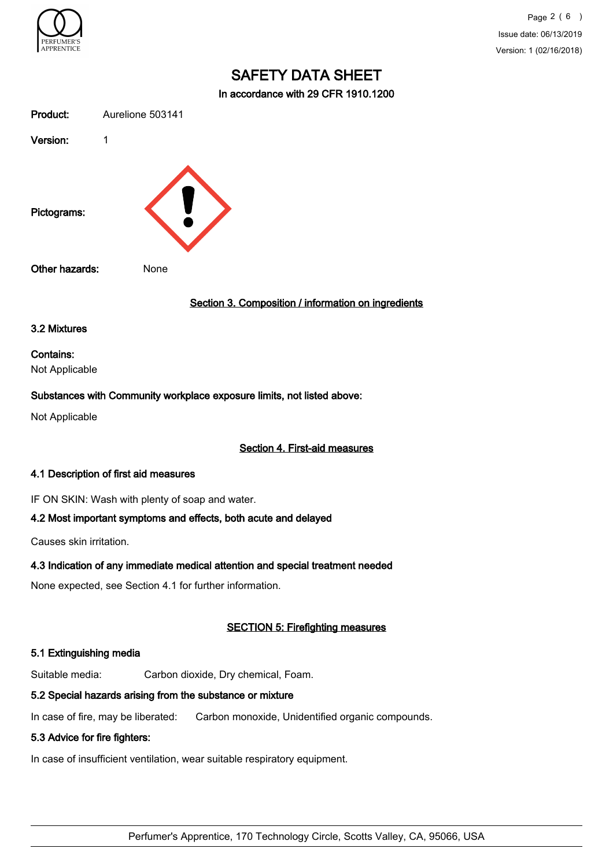

Page 2 ( 6 ) Issue date: 06/13/2019 Version: 1 (02/16/2018)

# SAFETY DATA SHEET

In accordance with 29 CFR 1910.1200

| Product:         | Aurelione 503141                                    |
|------------------|-----------------------------------------------------|
| Version:         | 1                                                   |
| Pictograms:      |                                                     |
| Other hazards:   | None                                                |
|                  | Section 3. Composition / information on ingredients |
| 3.2 Mixtures     |                                                     |
| <b>Contains:</b> |                                                     |

Not Applicable

#### Substances with Community workplace exposure limits, not listed above:

Not Applicable

#### Section 4. First-aid measures

#### 4.1 Description of first aid measures

IF ON SKIN: Wash with plenty of soap and water.

#### 4.2 Most important symptoms and effects, both acute and delayed

Causes skin irritation.

# 4.3 Indication of any immediate medical attention and special treatment needed

None expected, see Section 4.1 for further information.

# SECTION 5: Firefighting measures

# 5.1 Extinguishing media

Suitable media: Carbon dioxide, Dry chemical, Foam.

# 5.2 Special hazards arising from the substance or mixture

In case of fire, may be liberated: Carbon monoxide, Unidentified organic compounds.

# 5.3 Advice for fire fighters:

In case of insufficient ventilation, wear suitable respiratory equipment.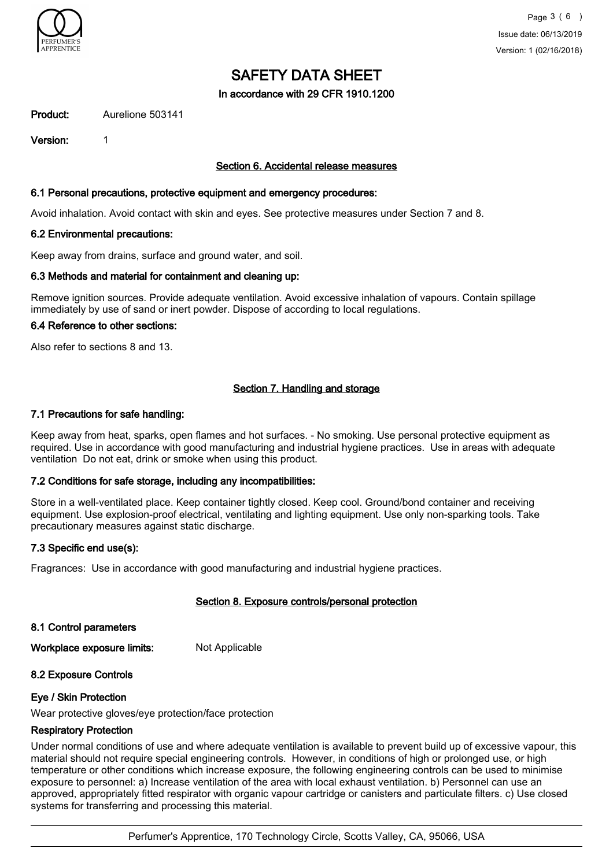

In accordance with 29 CFR 1910.1200

Product: Aurelione 503141

Version: 1

#### Section 6. Accidental release measures

#### 6.1 Personal precautions, protective equipment and emergency procedures:

Avoid inhalation. Avoid contact with skin and eyes. See protective measures under Section 7 and 8.

#### 6.2 Environmental precautions:

Keep away from drains, surface and ground water, and soil.

#### 6.3 Methods and material for containment and cleaning up:

Remove ignition sources. Provide adequate ventilation. Avoid excessive inhalation of vapours. Contain spillage immediately by use of sand or inert powder. Dispose of according to local regulations.

#### 6.4 Reference to other sections:

Also refer to sections 8 and 13.

# Section 7. Handling and storage

#### 7.1 Precautions for safe handling:

Keep away from heat, sparks, open flames and hot surfaces. - No smoking. Use personal protective equipment as required. Use in accordance with good manufacturing and industrial hygiene practices. Use in areas with adequate ventilation Do not eat, drink or smoke when using this product.

#### 7.2 Conditions for safe storage, including any incompatibilities:

Store in a well-ventilated place. Keep container tightly closed. Keep cool. Ground/bond container and receiving equipment. Use explosion-proof electrical, ventilating and lighting equipment. Use only non-sparking tools. Take precautionary measures against static discharge.

#### 7.3 Specific end use(s):

Fragrances: Use in accordance with good manufacturing and industrial hygiene practices.

# Section 8. Exposure controls/personal protection

8.1 Control parameters

Workplace exposure limits: Not Applicable

# 8.2 Exposure Controls

#### Eye / Skin Protection

Wear protective gloves/eye protection/face protection

#### Respiratory Protection

Under normal conditions of use and where adequate ventilation is available to prevent build up of excessive vapour, this material should not require special engineering controls. However, in conditions of high or prolonged use, or high temperature or other conditions which increase exposure, the following engineering controls can be used to minimise exposure to personnel: a) Increase ventilation of the area with local exhaust ventilation. b) Personnel can use an approved, appropriately fitted respirator with organic vapour cartridge or canisters and particulate filters. c) Use closed systems for transferring and processing this material.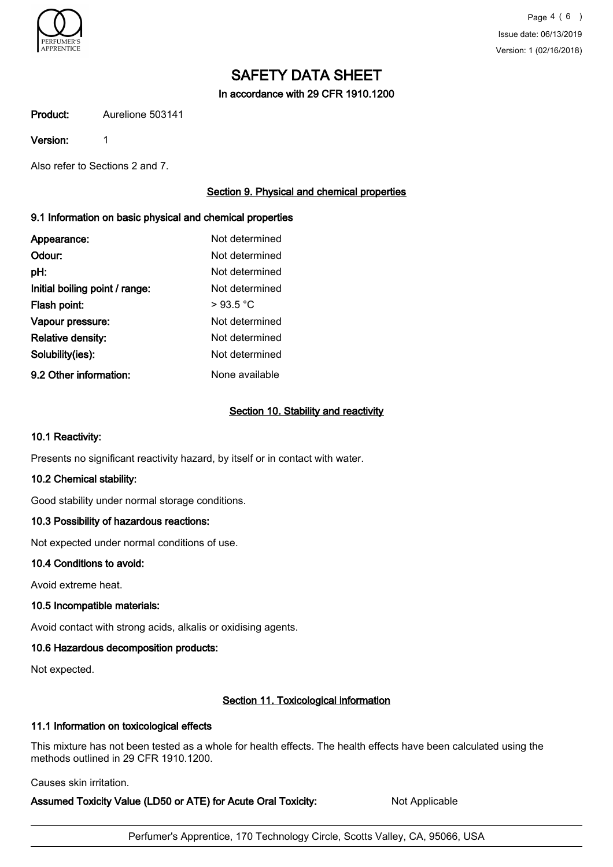

In accordance with 29 CFR 1910.1200

Product: Aurelione 503141

Version: 1

Also refer to Sections 2 and 7.

# Section 9. Physical and chemical properties

# 9.1 Information on basic physical and chemical properties

| Appearance:                    | Not determined |
|--------------------------------|----------------|
| Odour:                         | Not determined |
| pH:                            | Not determined |
| Initial boiling point / range: | Not determined |
| Flash point:                   | >93.5 °C       |
| Vapour pressure:               | Not determined |
| Relative density:              | Not determined |
| Solubility(ies):               | Not determined |
| 9.2 Other information:         | None available |

#### Section 10. Stability and reactivity

#### 10.1 Reactivity:

Presents no significant reactivity hazard, by itself or in contact with water.

# 10.2 Chemical stability:

Good stability under normal storage conditions.

# 10.3 Possibility of hazardous reactions:

Not expected under normal conditions of use.

# 10.4 Conditions to avoid:

Avoid extreme heat.

# 10.5 Incompatible materials:

Avoid contact with strong acids, alkalis or oxidising agents.

# 10.6 Hazardous decomposition products:

Not expected.

# Section 11. Toxicological information

# 11.1 Information on toxicological effects

This mixture has not been tested as a whole for health effects. The health effects have been calculated using the methods outlined in 29 CFR 1910.1200.

Causes skin irritation.

Assumed Toxicity Value (LD50 or ATE) for Acute Oral Toxicity: Not Applicable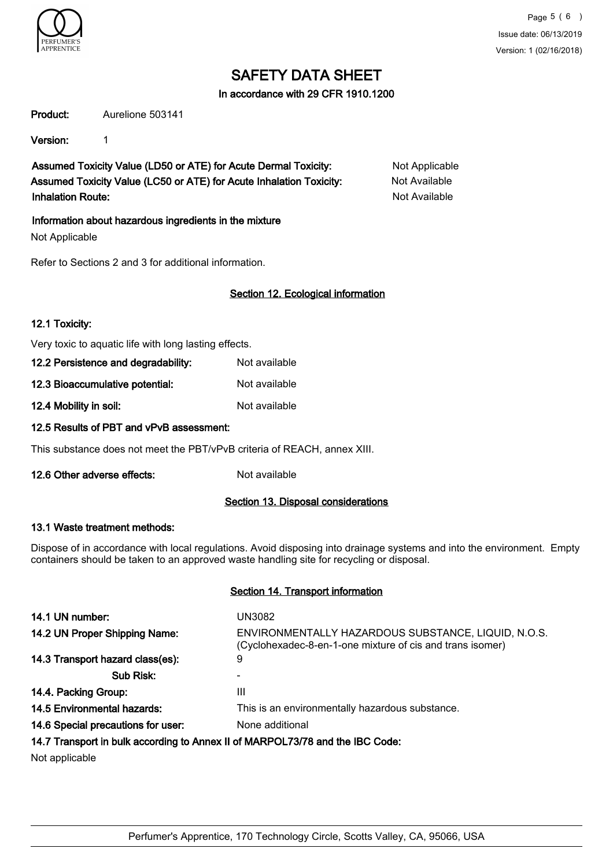

#### In accordance with 29 CFR 1910.1200

Product: Aurelione 503141

Version: 1

Assumed Toxicity Value (LD50 or ATE) for Acute Dermal Toxicity: Not Applicable Assumed Toxicity Value (LC50 or ATE) for Acute Inhalation Toxicity: Not Available Inhalation Route: Not Available

Information about hazardous ingredients in the mixture

Not Applicable

Refer to Sections 2 and 3 for additional information.

# Section 12. Ecological information

#### 12.1 Toxicity:

Very toxic to aquatic life with long lasting effects.

| Not available |
|---------------|
|               |

12.3 Bioaccumulative potential: Not available

12.4 Mobility in soil: Not available

# 12.5 Results of PBT and vPvB assessment:

This substance does not meet the PBT/vPvB criteria of REACH, annex XIII.

12.6 Other adverse effects: Not available

# Section 13. Disposal considerations

#### 13.1 Waste treatment methods:

Dispose of in accordance with local regulations. Avoid disposing into drainage systems and into the environment. Empty containers should be taken to an approved waste handling site for recycling or disposal.

#### Section 14. Transport information

| 14.1 UN number:                                                               | UN3082                                                                                                           |  |  |
|-------------------------------------------------------------------------------|------------------------------------------------------------------------------------------------------------------|--|--|
| 14.2 UN Proper Shipping Name:                                                 | ENVIRONMENTALLY HAZARDOUS SUBSTANCE, LIQUID, N.O.S.<br>(Cyclohexadec-8-en-1-one mixture of cis and trans isomer) |  |  |
| 14.3 Transport hazard class(es):                                              | 9                                                                                                                |  |  |
| Sub Risk:                                                                     |                                                                                                                  |  |  |
| 14.4. Packing Group:                                                          | Ш                                                                                                                |  |  |
| 14.5 Environmental hazards:                                                   | This is an environmentally hazardous substance.                                                                  |  |  |
| 14.6 Special precautions for user:                                            | None additional                                                                                                  |  |  |
| 14.7 Transport in bulk according to Annex II of MARPOL73/78 and the IBC Code: |                                                                                                                  |  |  |
| Alle to concentrate the latter                                                |                                                                                                                  |  |  |

Not applicable